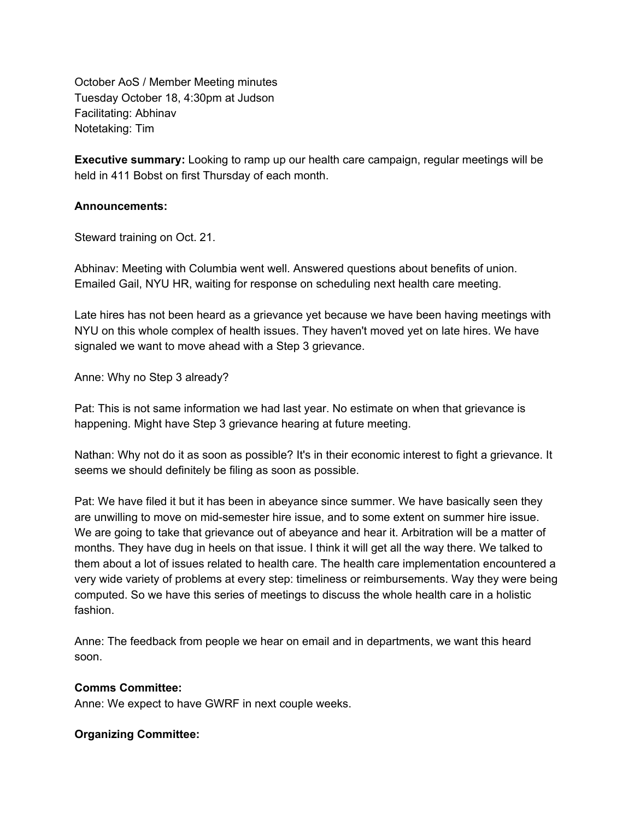October AoS / Member Meeting minutes Tuesday October 18, 4:30pm at Judson Facilitating: Abhinav Notetaking: Tim

**Executive summary:** Looking to ramp up our health care campaign, regular meetings will be held in 411 Bobst on first Thursday of each month.

#### **Announcements:**

Steward training on Oct. 21.

Abhinav: Meeting with Columbia went well. Answered questions about benefits of union. Emailed Gail, NYU HR, waiting for response on scheduling next health care meeting.

Late hires has not been heard as a grievance yet because we have been having meetings with NYU on this whole complex of health issues. They haven't moved yet on late hires. We have signaled we want to move ahead with a Step 3 grievance.

Anne: Why no Step 3 already?

Pat: This is not same information we had last year. No estimate on when that grievance is happening. Might have Step 3 grievance hearing at future meeting.

Nathan: Why not do it as soon as possible? It's in their economic interest to fight a grievance. It seems we should definitely be filing as soon as possible.

Pat: We have filed it but it has been in abeyance since summer. We have basically seen they are unwilling to move on mid-semester hire issue, and to some extent on summer hire issue. We are going to take that grievance out of abeyance and hear it. Arbitration will be a matter of months. They have dug in heels on that issue. I think it will get all the way there. We talked to them about a lot of issues related to health care. The health care implementation encountered a very wide variety of problems at every step: timeliness or reimbursements. Way they were being computed. So we have this series of meetings to discuss the whole health care in a holistic fashion.

Anne: The feedback from people we hear on email and in departments, we want this heard soon.

#### **Comms Committee:**

Anne: We expect to have GWRF in next couple weeks.

### **Organizing Committee:**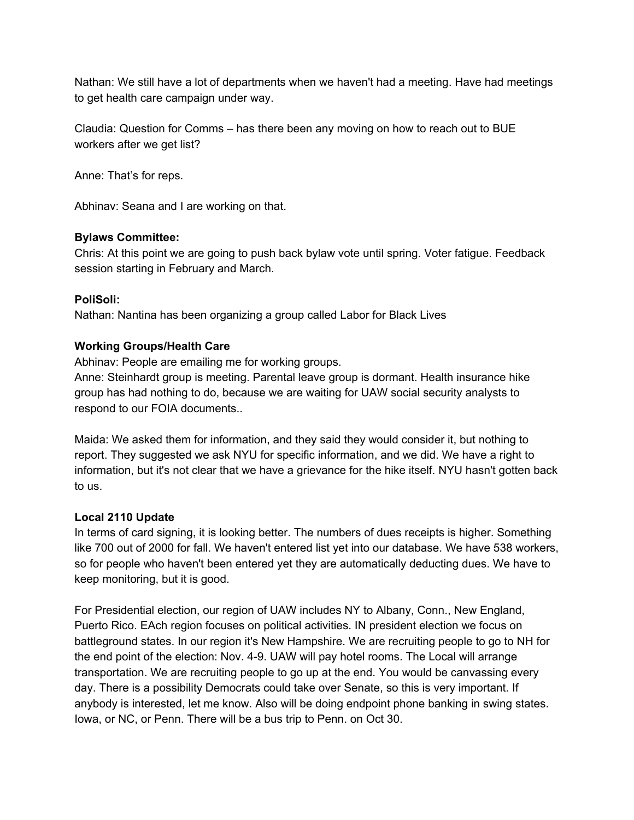Nathan: We still have a lot of departments when we haven't had a meeting. Have had meetings to get health care campaign under way.

Claudia: Question for Comms – has there been any moving on how to reach out to BUE workers after we get list?

Anne: That's for reps.

Abhinav: Seana and I are working on that.

# **Bylaws Committee:**

Chris: At this point we are going to push back bylaw vote until spring. Voter fatigue. Feedback session starting in February and March.

# **PoliSoli:**

Nathan: Nantina has been organizing a group called Labor for Black Lives

# **Working Groups/Health Care**

Abhinav: People are emailing me for working groups.

Anne: Steinhardt group is meeting. Parental leave group is dormant. Health insurance hike group has had nothing to do, because we are waiting for UAW social security analysts to respond to our FOIA documents..

Maida: We asked them for information, and they said they would consider it, but nothing to report. They suggested we ask NYU for specific information, and we did. We have a right to information, but it's not clear that we have a grievance for the hike itself. NYU hasn't gotten back to us.

### **Local 2110 Update**

In terms of card signing, it is looking better. The numbers of dues receipts is higher. Something like 700 out of 2000 for fall. We haven't entered list yet into our database. We have 538 workers, so for people who haven't been entered yet they are automatically deducting dues. We have to keep monitoring, but it is good.

For Presidential election, our region of UAW includes NY to Albany, Conn., New England, Puerto Rico. EAch region focuses on political activities. IN president election we focus on battleground states. In our region it's New Hampshire. We are recruiting people to go to NH for the end point of the election: Nov. 4-9. UAW will pay hotel rooms. The Local will arrange transportation. We are recruiting people to go up at the end. You would be canvassing every day. There is a possibility Democrats could take over Senate, so this is very important. If anybody is interested, let me know. Also will be doing endpoint phone banking in swing states. Iowa, or NC, or Penn. There will be a bus trip to Penn. on Oct 30.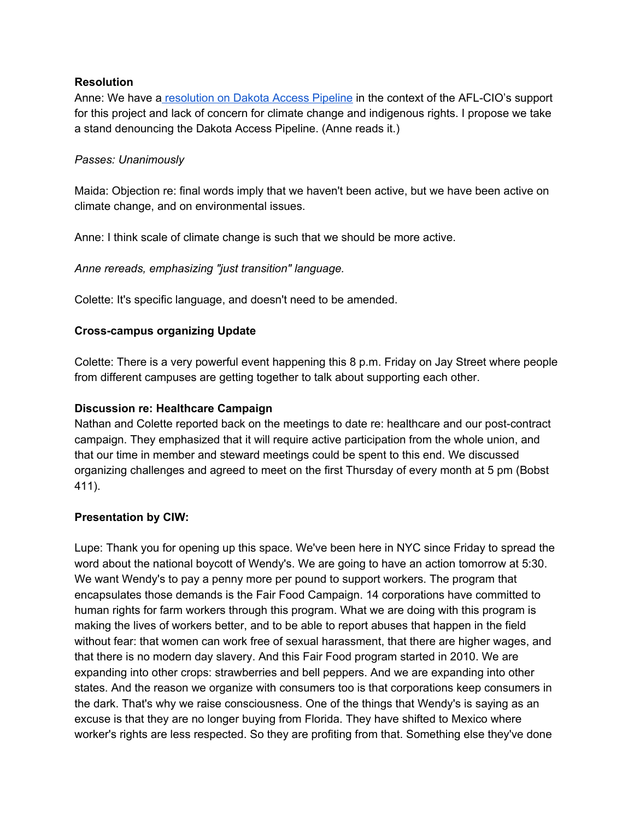### **Resolution**

Anne: We have a resolution on Dakota [Access Pipeline](http://www.makingabetternyu.org/gsocuaw/2016/10/19/resolution-against-the-dakota-access-pipeline-and-in-favor-of-a-just-transition-to-a-clean-energy-future/) in the context of the AFL-CIO's support for this project and lack of concern for climate change and indigenous rights. I propose we take a stand denouncing the Dakota Access Pipeline. (Anne reads it.)

# *Passes: Unanimously*

Maida: Objection re: final words imply that we haven't been active, but we have been active on climate change, and on environmental issues.

Anne: I think scale of climate change is such that we should be more active.

*Anne rereads, emphasizing "just transition" language.*

Colette: It's specific language, and doesn't need to be amended.

# **Cross-campus organizing Update**

Colette: There is a very powerful event happening this 8 p.m. Friday on Jay Street where people from different campuses are getting together to talk about supporting each other.

# **Discussion re: Healthcare Campaign**

Nathan and Colette reported back on the meetings to date re: healthcare and our post-contract campaign. They emphasized that it will require active participation from the whole union, and that our time in member and steward meetings could be spent to this end. We discussed organizing challenges and agreed to meet on the first Thursday of every month at 5 pm (Bobst 411).

### **Presentation by CIW:**

Lupe: Thank you for opening up this space. We've been here in NYC since Friday to spread the word about the national boycott of Wendy's. We are going to have an action tomorrow at 5:30. We want Wendy's to pay a penny more per pound to support workers. The program that encapsulates those demands is the Fair Food Campaign. 14 corporations have committed to human rights for farm workers through this program. What we are doing with this program is making the lives of workers better, and to be able to report abuses that happen in the field without fear: that women can work free of sexual harassment, that there are higher wages, and that there is no modern day slavery. And this Fair Food program started in 2010. We are expanding into other crops: strawberries and bell peppers. And we are expanding into other states. And the reason we organize with consumers too is that corporations keep consumers in the dark. That's why we raise consciousness. One of the things that Wendy's is saying as an excuse is that they are no longer buying from Florida. They have shifted to Mexico where worker's rights are less respected. So they are profiting from that. Something else they've done